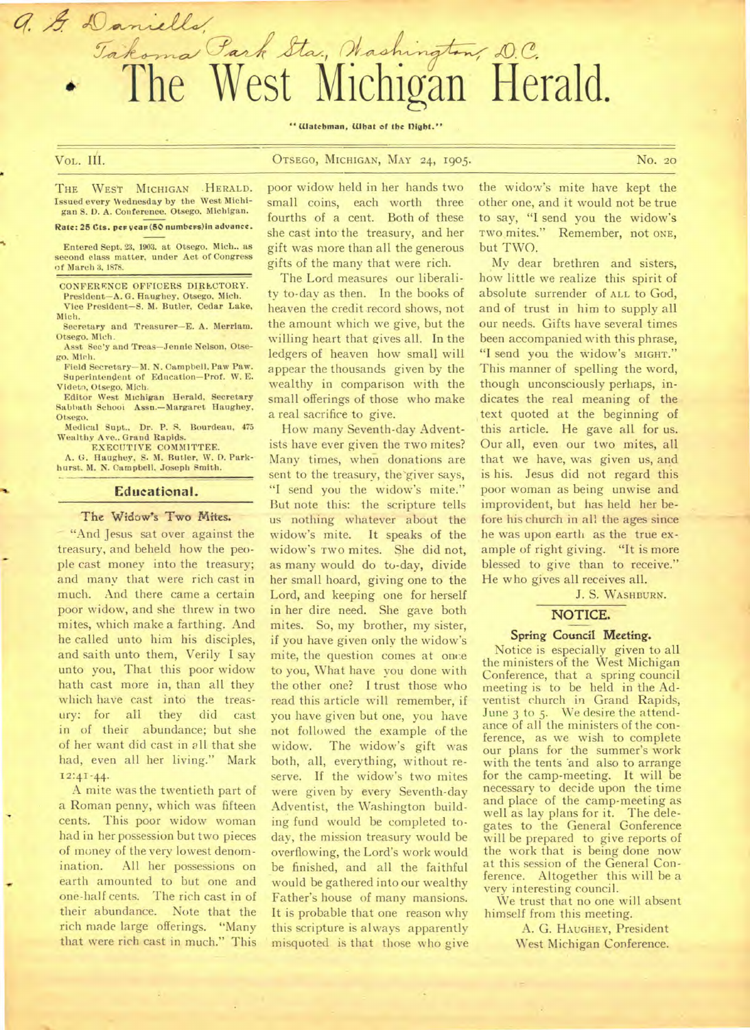" Watchman, What of the Dight."

Jakoma Park Sta, Chashington, D.C.<br>The West Michigan Herald.

a. & Daniells

VOL. **III.** OTSEGO, MICHIGAN, MAY 24, 1905. No. 20

THE WEST MICHIGAN . HERALD. Issued every Wednesday by the West Michigan S. 1). A. Conference. Otsego, Michigan.

#### Rate: 25 Cts. per year (50 numbers) in advance.

Entered Sept. 23, 1903. at Otsego. Mich.. as second class matter, under Act of Congress of March 3, 1878.

CONFERENCE OFFICERS DIRECTORY. President—A. G. Haughey, Otsego, Mich.

Vice President—S. M. Butler, Cedar Lake, Mich.

Secretary and Treasurer—E. A. Merriam. Otsego, Mich.

Asst Sec'y and Treas—Jennie Nelson, Otsego. Mich.

Field Secretary—M. N. Campbell, Paw Paw. Superintendent of Education—Prof. W. E. Videtn, Otsego. Mich.

Editor West Michigan Herald, Secretary Sabbath School Assn.—Margaret Haughey, Otsego.

Medical Supt., Dr. P. S. Bourdeau, 475 Wealthy Ave.. Grand Rapids.

EXECUTIVE COMMITTEE. A. G. Haughey, S. M. Butler, W. B. Parkhurst. M. N. Campbell, Joseph Smith.

#### **Educational.**

## **The Widow's** Two Mites.

"And Jesus sat over against the treasury, and beheld how the people cast money into the treasury; and many that were rich cast in much. And there came a certain poor widow, and she threw in two mites, which make a farthing. And he called unto him his disciples, and saith unto them, Verily I say unto you, That this poor widow hath cast more in, than all they which have cast into the treasury: for all they did cast in of their abundance; but she of her want did cast in all that she had, even all her living." Mark  $12:41-44.$ 

A mite was the twentieth part of a Roman penny, which was fifteen cents. This poor widow woman had in her possession but two pieces of money of the very lowest denomination. All her possessions on earth amounted to but one and one-half cents. The rich cast in of their abundance. Note that the rich made large offerings. "Many that were rich cast in much." This poor widow held in her hands two small coins, each worth three fourths of a cent. Both of these she cast into the treasury, and her gift was more than all the generous gifts of the many that were rich.

The Lord measures our liberality to-day as then. In the books of heaven the credit record shows, not the amount which we give, but the willing heart that gives all. In the ledgers of heaven how small will appear the thousands given by the wealthy in comparison with the small offerings of those who make a real sacrifice to give.

How many Seventh-day Adventists have ever given the TWO mites? Many times, when donations are sent to the treasury, the'giver says, "I send you the widow's mite." But note this: the scripture tells us nothing whatever about the widow's mite. It speaks of the widow's TWO mites. She did not, as many would do to-day, divide her small hoard, giving one to the Lord, and keeping one for herself in her dire need. She gave both mites. So, my brother, my sister, if you have given only the widow's mite, the question comes at once to you, What have you done with the other one? I trust those who read this article will remember, if you have given but one, you have not followed the example of the widow. The widow's gift was both, all, everything, without reserve. If the widow's two mites were given by every Seventh-day Adventist, the Washington building fund would be completed today, the mission treasury would be overflowing, the Lord's work would be finished, and all the faithful would be gathered into our wealthy Father's house of many mansions. It is probable that one reason why this scripture is always apparently misquoted is that those who give the widow's mite have kept the other one, and it would not be true to say, "I send you the widow's Two mites." Remember, not ONE, but TWO.

My dear brethren and sisters, how little we realize this spirit of absolute surrender of ALL to God, and of trust in him to supply all our needs. Gifts have several times been accompanied with this phrase, "I send you the widow's MIGHT." This manner of spelling the word, though unconsciously perhaps, indicates the real meaning of the text quoted at the beginning of this article. He gave all for us. Our all, even our two mites, all that we have, was given us, and is his. Jesus did not regard this poor woman as being unwise and improvident, but has held her before his church in all the ages since he was upon earth as the true example of right giving. "It is more blessed to give than to receive." He who gives all receives all.

J. S. WASHBURN.

#### **NOTICE.**

#### Spring **Council Meeting.**

Notice is especially given to all the ministers of the West Michigan Conference, that a spring council meeting is to be held in the Adventist church in Grand Rapids, June 3 to 5. We desire the attendance of all the ministers of the conference, as we wish to complete our plans for the summer's work with the tents 'and also to arrange for the camp-meeting. **It** will be necessary to decide upon the time and place of the camp-meeting as well as lay plans for it. The delegates to the General Gonference will be prepared to give reports of the work that is being done now at this session of the General Conference. Altogether this will be a very interesting council.

We trust that no one will absent himself from this meeting.

> A. G. HAUGHEY, President West Michigan Conference.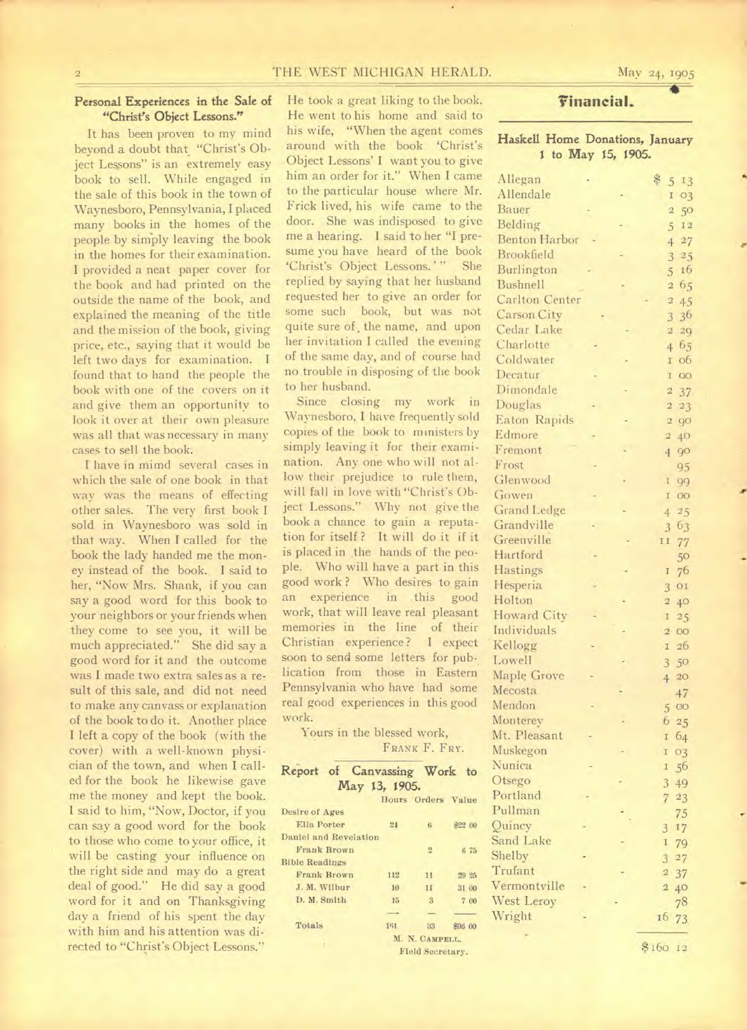## THE WEST MICHIGAN HERALD.

May 24, 1905

# Personal Experiences in the Sale of "Christ's Object Lessons."

It has been proven to my mind beyond a doubt that "Christ's Object Lessons" is an extremely easy book to sell. While engaged in the sale of this book in the town of Waynesboro, Pennsylvania, I placed many books in the homes of the people by simply leaving the book in the homes for their examination. I provided a neat paper cover for the book and had printed on the outside the name of the book, and explained the meaning of the title and the mission of the book, giving price, etc., saying that it would be left two days for examination. I found that to hand the people the book with one of the covers on it and give them an opportunity to look it over at their own pleasure was all that was necessary in many cases to sell the book.

I have in mimd several cases in which the sale of one book in that way was the means of effecting other sales. The very first book I sold in Waynesboro was sold in that way. When I called for the book the lady handed me the money instead of the book. I said to her, "Now Mrs. Shank, if you can say a good word for this book to your neighbors or your friends when they come to see you, it will be much appreciated." She did say a good word for it and the outcome was I made two extra sales as a result of this sale, and did not need to make any canvass or explanation of the book to do it. Another place I left a copy of the book (with the cover) with a well-known physician of the town, and when I called for the book he likewise gave me the money and kept the book. I said to him, "Now, Doctor, if you can say a good word for the book to those who come to your office, it will be casting your influence on the right side and may do a great deal of good." He did say a good word for it and on Thanksgiving day a friend of his spent the day with him and his attention was directed to "Christ's Object Lessons."

He took a great liking to the book. He went to his home and said to his wife, "When the agent comes around with the book 'Christ's Object Lessons' I want you to give him an order for it." When I came to the particular house where Mr. Frick lived, his wife came to the door. She was indisposed to give me a hearing. I said to her "I presume you have heard of the book 'Christ's Object Lessons.'" She replied by saying that her husband requested her to give an order for some such book, but was not quite sure of, the name, and upon her invitation I called the evening of the same day, and of course had no trouble in disposing of the book to her husband.

Since closing my work in Waynesboro, I have frequently sold copies of the book to ministers by simply leaving it for their examination. Any one who will not allow their prejudice to rule them, will fall in love with "Christ's Object Lessons." Why not give the book a chance to gain a reputation for itself ? It will do it if it is placed in the hands of the people. Who will have a part in this good work ? Who desires to gain an experience in this good work, that will leave real pleasant memories in the line of their Christian experience ? I expect soon to send some letters for publication from those in Eastern Pennsylvania who have had some real good experiences in this good work.

Yours in the blessed work, FRANK F. FRY.

|                       |                    | Report of Canvassing Work to |                    |         |  |  |
|-----------------------|--------------------|------------------------------|--------------------|---------|--|--|
|                       |                    | May 13, 1905.                |                    |         |  |  |
|                       |                    |                              | Hours Orders Value |         |  |  |
| Desire of Ages        |                    |                              |                    |         |  |  |
| Ella Porter           |                    | 24                           | 6                  | \$22.00 |  |  |
| Daniel and Revelation |                    |                              |                    |         |  |  |
|                       | <b>Frank Brown</b> |                              | $\mathbf{E}$       | 675     |  |  |
| <b>Bible Readings</b> |                    |                              |                    |         |  |  |
|                       | <b>Frank Brown</b> | 112                          | 11                 | 29 25   |  |  |
| J. M. Wilbur          |                    | 10                           | 11                 | 31 00   |  |  |
| D. M. Smith           |                    | 15                           | 3                  | 7 00    |  |  |
|                       |                    |                              |                    |         |  |  |
| Totals                |                    | 141                          | 33                 | \$96 00 |  |  |
|                       |                    |                              | M. N. CAMPELL.     |         |  |  |
|                       |                    |                              | Field Secretary.   |         |  |  |

# Financial.

## Haskell Home Donations, January 1 to May 15, 1905.

| Allegan              |  | \$ 5 13               |
|----------------------|--|-----------------------|
| Allendale            |  | 1 03                  |
| <b>Bauer</b>         |  | 50<br>$\overline{a}$  |
| Belding              |  | 5<br>$\mathbbm{1}\,2$ |
| <b>Benton Harbor</b> |  | 427                   |
| Brookfield           |  | $3^{95}$              |
| Burlington           |  | 5 16                  |
| <b>Bushnell</b>      |  | 2 65                  |
| Carlton Center       |  | $\overline{a}$<br>45  |
| Carson City          |  | 3 36                  |
| Cedar Lake           |  | 229                   |
| Charlotte            |  | 4 65                  |
| Coldwater            |  | 06<br>$\mathbf{I}$    |
| Decatur              |  | $\overline{O}O$<br>T  |
| Dimondale            |  | 237                   |
| Douglas              |  | $2\,23$               |
| Eaton Rapids         |  | 2 90                  |
| Edmore               |  | $\overline{2}$<br>40  |
| Fremont              |  | 4<br>90               |
| Frost                |  | 95                    |
| Glenwood             |  | 99<br>T               |
| Gowen                |  | $\mathbf I$<br>OO     |
| <b>Grand Ledge</b>   |  | 25<br>4               |
| Grandville           |  | 363                   |
| Greenville           |  | 77<br>11              |
| Hartford             |  | 50                    |
| Hastings             |  | 76<br>I               |
| Hesperia             |  | 3 01                  |
| Holton               |  | 40<br>$\overline{2}$  |
| <b>Howard City</b>   |  | $\mathbf I$<br>25     |
| Individuals          |  | 200                   |
| Kellogg              |  | 26<br>I.              |
| Lowell               |  | 3 50                  |
| Maple Grove          |  | 420                   |
| Mecosta              |  | 47                    |
| Mendon               |  | 500                   |
| Monterey             |  | 6 25                  |
| Mt. Pleasant         |  | 64<br>I               |
| Muskegon             |  | O <sub>3</sub><br>I   |
| Nunica               |  | 56<br>$\mathbf I$     |
| Otsego               |  | 3 4 9                 |
| Portland             |  | 723                   |
| Pullman              |  | 75                    |
| Quincy               |  | 3 17                  |
| Sand Lake            |  | $\mathbf I$<br>79     |
| Shelby               |  | 327                   |
| Trufant              |  | 237                   |
| Vermontville         |  | 40<br>$\overline{a}$  |
| West Leroy           |  | 78                    |
| Wright               |  | 16 73                 |
|                      |  |                       |
|                      |  | \$160<br>12           |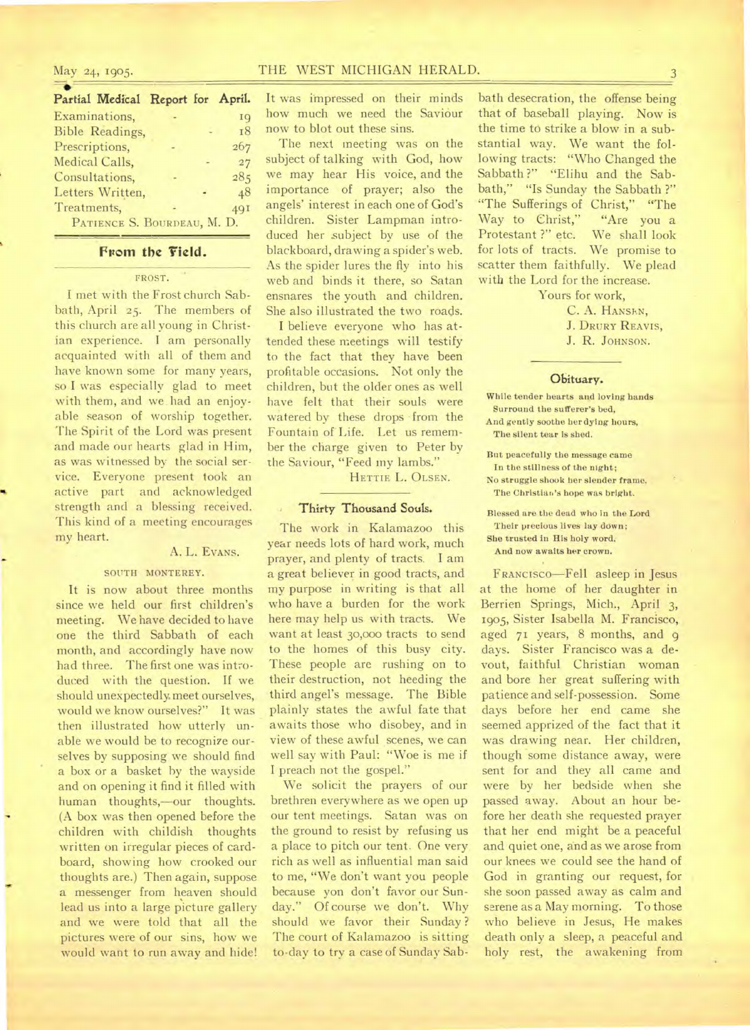# May 24, 1905. THE WEST MICHIGAN HERALD.

| Partial Medical Report for April. |  |  |           |  |  |  |
|-----------------------------------|--|--|-----------|--|--|--|
| Examinations,                     |  |  | 19        |  |  |  |
| <b>Bible Readings,</b>            |  |  | <b>18</b> |  |  |  |
| Prescriptions,                    |  |  | 267       |  |  |  |
| Medical Calls,                    |  |  | 27        |  |  |  |
| Consultations,                    |  |  | 285       |  |  |  |
| Letters Written,                  |  |  | 48        |  |  |  |
| Treatments,                       |  |  | 49I       |  |  |  |
| PATIENCE S. BOURDEAU, M. D.       |  |  |           |  |  |  |

## From the Field.

#### FROST.

I met with the Frost church Sabbath, April 25. The members of this church are all young in Christian experience. I am personally acquainted with all of them and have known some for many years, so I was especially glad to meet with them, and we had an enjoyable season of worship together. The Spirit of the Lord was present and made our hearts glad in Him, as was witnessed by the social service. Everyone present took an active part and acknowledged strength and a blessing received. This kind of a meeting encourages my heart.

#### A. L. EVANS.

### SOUTH MONTEREY.

It is now about three months since we held our first children's meeting. We have decided to have one the third Sabbath of each month, and accordingly have now had three. The first one was introduced with the question. If we should unexpectedly meet ourselves, would we know ourselves?" It was then illustrated how utterly unable we would be to recognize ourselves by supposing we should find a box or a basket by the wayside and on opening it find it filled with human thoughts,—our thoughts. (A box was then opened before the children with childish thoughts written on irregular pieces of cardboard, showing how crooked our thoughts are.) Then again, suppose a messenger from heaven should lead us into a large picture gallery and we were told that all the pictures were of our sins, how we would want to run away and hide!

It was impressed on their minds how much we need the Saviour now to blot out these sins.

The next meeting was on the subject of talking with God, how we may hear His voice, and the importance of prayer; also the angels' interest in each one of God's children. Sister Lampman introduced her subject by use of the blackboard, drawing a spider's web. As the spider lures the fly into his web and binds it there, so Satan ensnares the youth and children. She also illustrated the two roads.

I believe everyone who has attended these meetings will testify to the fact that they have been profitable occasions. Not only the children, but the older ones as well have felt that their souls were watered by these drops from the Fountain of Life. Let us remember the charge given to Peter by the Saviour, "Feed my lambs."

HETTIE L. OLSEN.

## Thirty Thousand Souls.

The work in Kalamazoo this year needs lots of hard work, much prayer, and plenty of tracts. I am a great believer in good tracts, and my purpose in writing is that all who have a burden for the work here may help us with tracts. We want at least 30,000 tracts to send to the homes of this busy city. These people are rushing on to their destruction, not heeding the third angel's message. The Bible plainly states the awful fate that awaits those who disobey, and in view of these awful scenes, we can well say with Paul: "Woe is me if I preach not the gospel."

We solicit the prayers of our brethren everywhere as we open up our tent meetings. Satan was on the ground to resist by refusing us a place to pitch our tent. One very rich as well as influential man said to me, "We don't want you people because yon don't favor our Sunday." Of course we don't. Why should we favor their Sunday ? The court of Kalamazoo is sitting to-day to try a case of Sunday Sab-

bath desecration, the offense being that of baseball playing. Now is the time to strike a blow in a substantial way. We want the following tracts: "Who Changed the Sabbath ?" "Elihu and the Sabbath," "Is Sunday the Sabbath ?" "The Sufferings of Christ," "The<br>Way to Christ," "Are you a Way to Christ," Protestant ?" etc. We shall look for lots of tracts. We promise to scatter them faithfully. We plead with the Lord for the increase.

Yours for work,

C. A. HANSEN, **J. DRURY REAVIS, J. R.** JOHNSON.

## **Obituary.**

While tender hearts and loving bands Surround the sufferer's bed, And gently soothe her dying hours, The silent tear is shed.

But peacefully the message came In the stillness of the night; No struggle shook her slender frame. The Christian's hope was bright.

Blessed are the dead who in the Lord Their precious lives lay down; She trusted in His holy word, And now awaits her crown.

FRANCISCO—Fell asleep in Jesus at the home of her daughter in Berrien Springs, Mich., April 3, 1905, Sister Isabella M. Francisco, aged 71 years, 8 months, and 9 days. Sister Francisco was a devout, faithful Christian woman and bore her great suffering with patience and self-possession. Some days before her end came she seemed apprized of the fact that it was drawing near. Her children, though some distance away, were sent for and they all came and were by her bedside when she passed away. About an hour before her death she requested prayer that her end might be a peaceful and quiet one, and as we arose from our knees we could see the hand of God in granting our request, for she soon passed away as calm and serene as a May morning. To those who believe in Jesus, He makes death only a sleep, a peaceful and holy rest, the awakening from